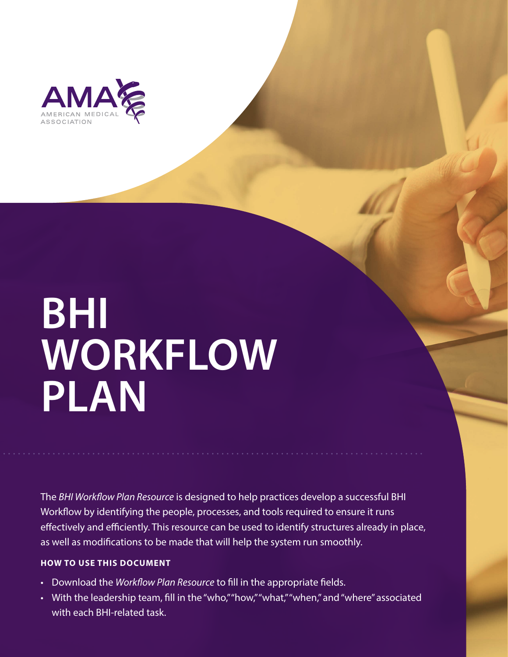

# **BHI WORKFLOW PLAN**

The *BHI Workflow Plan Resource* is designed to help practices develop a successful BHI Workflow by identifying the people, processes, and tools required to ensure it runs effectively and efficiently. This resource can be used to identify structures already in place, as well as modifications to be made that will help the system run smoothly.

## **HOW TO USE THIS DOCUMENT**

- Download the *Workflow Plan Resource* to fill in the appropriate fields.
- With the leadership team, fill in the "who," "how," "what," "when," and "where" associated with each BHI-related task.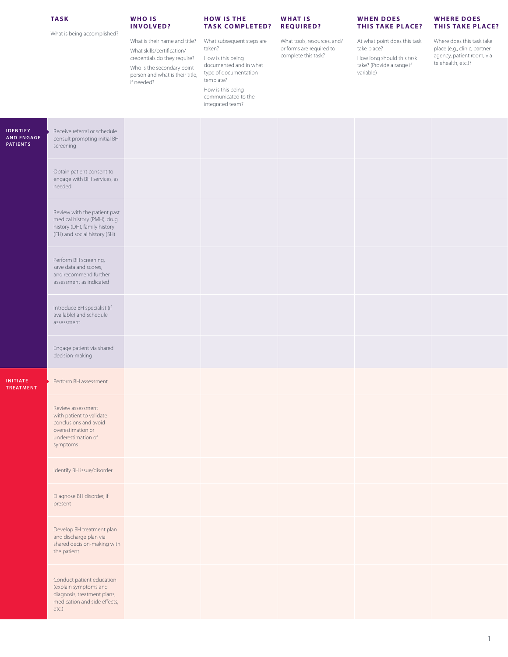### **TASK**

What is being accomplished?

#### **W H O I S INVOLVED?**

What is their name and title? What skills/certification/ credentials do they require? Who is the secondary point person and what is their title, if needed?

#### **HOW IS THE TASK COMPLETED?**

What subsequent steps are taken?

How is this being documented and in what type of documentation

template? How is this being communicated to the integrated team?

**W H AT I S REQUIRED?**

or forms are required to complete this task?

### **WHEN DOES THIS TAKE PLACE?**

What tools, resources, and/ At what point does this task take place?

How long should this task take? (Provide a range if variable)

Where does this task take place (e.g., clinic, partner agency, patient room, via telehealth, etc.)?

**WHERE DOES THIS TAKE PLACE?** 

| <b>IDENTIFY</b><br><b>AND ENGAGE</b><br><b>PATIENTS</b> | Receive referral or schedule<br>consult prompting initial BH<br>screening                                                     |  |  |  |
|---------------------------------------------------------|-------------------------------------------------------------------------------------------------------------------------------|--|--|--|
|                                                         | Obtain patient consent to<br>engage with BHI services, as<br>needed                                                           |  |  |  |
|                                                         | Review with the patient past<br>medical history (PMH), drug<br>history (DH), family history<br>(FH) and social history (SH)   |  |  |  |
|                                                         | Perform BH screening,<br>save data and scores,<br>and recommend further<br>assessment as indicated                            |  |  |  |
|                                                         | Introduce BH specialist (if<br>available) and schedule<br>assessment                                                          |  |  |  |
|                                                         | Engage patient via shared<br>decision-making                                                                                  |  |  |  |
| <b>INITIATE</b><br><b>TREATMENT</b>                     | Perform BH assessment                                                                                                         |  |  |  |
|                                                         | Review assessment<br>with patient to validate<br>conclusions and avoid<br>overestimation or<br>underestimation of<br>symptoms |  |  |  |
|                                                         | Identify BH issue/disorder                                                                                                    |  |  |  |
|                                                         | Diagnose BH disorder, if<br>present                                                                                           |  |  |  |
|                                                         | Develop BH treatment plan<br>and discharge plan via<br>shared decision-making with<br>the patient                             |  |  |  |
|                                                         | Conduct patient education<br>(explain symptoms and<br>diagnosis, treatment plans,<br>medication and side effects,<br>etc.)    |  |  |  |